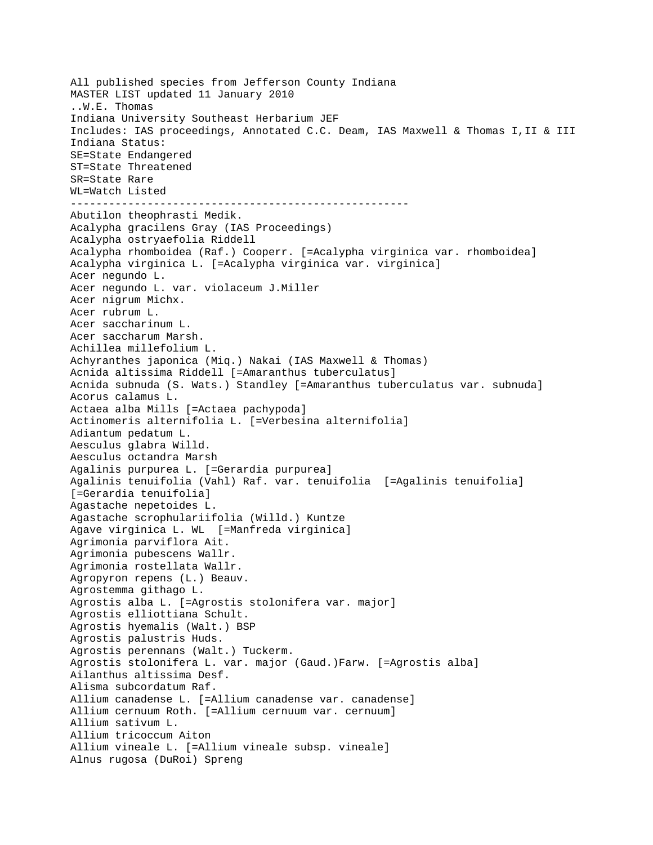All published species from Jefferson County Indiana MASTER LIST updated 11 January 2010 ..W.E. Thomas Indiana University Southeast Herbarium JEF Includes: IAS proceedings, Annotated C.C. Deam, IAS Maxwell & Thomas I,II & III Indiana Status: SE=State Endangered ST=State Threatened SR=State Rare WL=Watch Listed ----------------------------------------------------- Abutilon theophrasti Medik. Acalypha gracilens Gray (IAS Proceedings) Acalypha ostryaefolia Riddell Acalypha rhomboidea (Raf.) Cooperr. [=Acalypha virginica var. rhomboidea] Acalypha virginica L. [=Acalypha virginica var. virginica] Acer negundo L. Acer negundo L. var. violaceum J.Miller Acer nigrum Michx. Acer rubrum L. Acer saccharinum L. Acer saccharum Marsh. Achillea millefolium L. Achyranthes japonica (Miq.) Nakai (IAS Maxwell & Thomas) Acnida altissima Riddell [=Amaranthus tuberculatus] Acnida subnuda (S. Wats.) Standley [=Amaranthus tuberculatus var. subnuda] Acorus calamus L. Actaea alba Mills [=Actaea pachypoda] Actinomeris alternifolia L. [=Verbesina alternifolia] Adiantum pedatum L. Aesculus glabra Willd. Aesculus octandra Marsh Agalinis purpurea L. [=Gerardia purpurea] Agalinis tenuifolia (Vahl) Raf. var. tenuifolia [=Agalinis tenuifolia] [=Gerardia tenuifolia] Agastache nepetoides L. Agastache scrophulariifolia (Willd.) Kuntze Agave virginica L. WL [=Manfreda virginica] Agrimonia parviflora Ait. Agrimonia pubescens Wallr. Agrimonia rostellata Wallr. Agropyron repens (L.) Beauv. Agrostemma githago L. Agrostis alba L. [=Agrostis stolonifera var. major] Agrostis elliottiana Schult. Agrostis hyemalis (Walt.) BSP Agrostis palustris Huds. Agrostis perennans (Walt.) Tuckerm. Agrostis stolonifera L. var. major (Gaud.)Farw. [=Agrostis alba] Ailanthus altissima Desf. Alisma subcordatum Raf. Allium canadense L. [=Allium canadense var. canadense] Allium cernuum Roth. [=Allium cernuum var. cernuum] Allium sativum L. Allium tricoccum Aiton Allium vineale L. [=Allium vineale subsp. vineale] Alnus rugosa (DuRoi) Spreng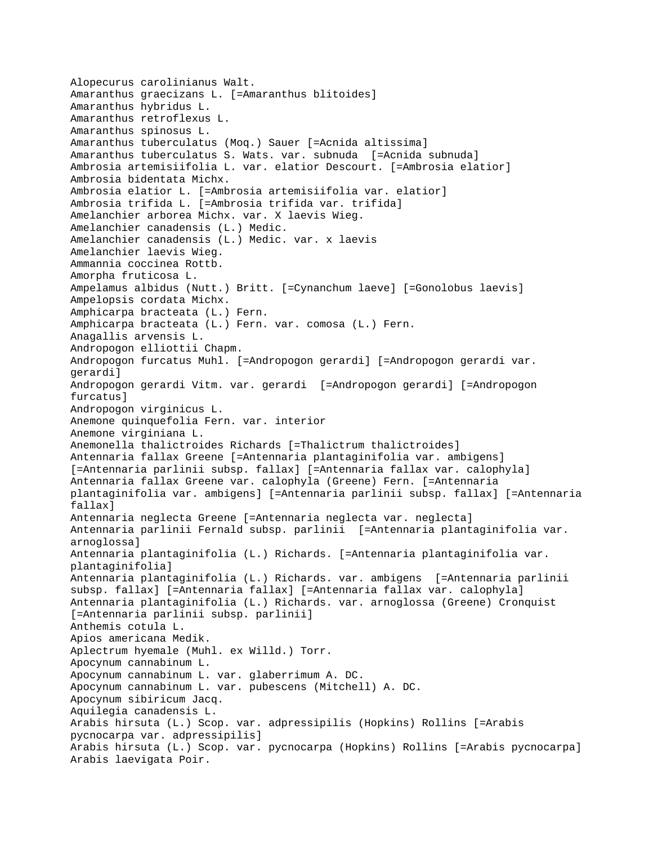Alopecurus carolinianus Walt. Amaranthus graecizans L. [=Amaranthus blitoides] Amaranthus hybridus L. Amaranthus retroflexus L. Amaranthus spinosus L. Amaranthus tuberculatus (Moq.) Sauer [=Acnida altissima] Amaranthus tuberculatus S. Wats. var. subnuda [=Acnida subnuda] Ambrosia artemisiifolia L. var. elatior Descourt. [=Ambrosia elatior] Ambrosia bidentata Michx. Ambrosia elatior L. [=Ambrosia artemisiifolia var. elatior] Ambrosia trifida L. [=Ambrosia trifida var. trifida] Amelanchier arborea Michx. var. X laevis Wieg. Amelanchier canadensis (L.) Medic. Amelanchier canadensis (L.) Medic. var. x laevis Amelanchier laevis Wieg. Ammannia coccinea Rottb. Amorpha fruticosa L. Ampelamus albidus (Nutt.) Britt. [=Cynanchum laeve] [=Gonolobus laevis] Ampelopsis cordata Michx. Amphicarpa bracteata (L.) Fern. Amphicarpa bracteata (L.) Fern. var. comosa (L.) Fern. Anagallis arvensis L. Andropogon elliottii Chapm. Andropogon furcatus Muhl. [=Andropogon gerardi] [=Andropogon gerardi var. gerardi] Andropogon gerardi Vitm. var. gerardi [=Andropogon gerardi] [=Andropogon furcatus] Andropogon virginicus L. Anemone quinquefolia Fern. var. interior Anemone virginiana L. Anemonella thalictroides Richards [=Thalictrum thalictroides] Antennaria fallax Greene [=Antennaria plantaginifolia var. ambigens] [=Antennaria parlinii subsp. fallax] [=Antennaria fallax var. calophyla] Antennaria fallax Greene var. calophyla (Greene) Fern. [=Antennaria plantaginifolia var. ambigens] [=Antennaria parlinii subsp. fallax] [=Antennaria fallax] Antennaria neglecta Greene [=Antennaria neglecta var. neglecta] Antennaria parlinii Fernald subsp. parlinii [=Antennaria plantaginifolia var. arnoglossa] Antennaria plantaginifolia (L.) Richards. [=Antennaria plantaginifolia var. plantaginifolia] Antennaria plantaginifolia (L.) Richards. var. ambigens [=Antennaria parlinii subsp. fallax] [=Antennaria fallax] [=Antennaria fallax var. calophyla] Antennaria plantaginifolia (L.) Richards. var. arnoglossa (Greene) Cronquist [=Antennaria parlinii subsp. parlinii] Anthemis cotula L. Apios americana Medik. Aplectrum hyemale (Muhl. ex Willd.) Torr. Apocynum cannabinum L. Apocynum cannabinum L. var. glaberrimum A. DC. Apocynum cannabinum L. var. pubescens (Mitchell) A. DC. Apocynum sibiricum Jacq. Aquilegia canadensis L. Arabis hirsuta (L.) Scop. var. adpressipilis (Hopkins) Rollins [=Arabis pycnocarpa var. adpressipilis] Arabis hirsuta (L.) Scop. var. pycnocarpa (Hopkins) Rollins [=Arabis pycnocarpa] Arabis laevigata Poir.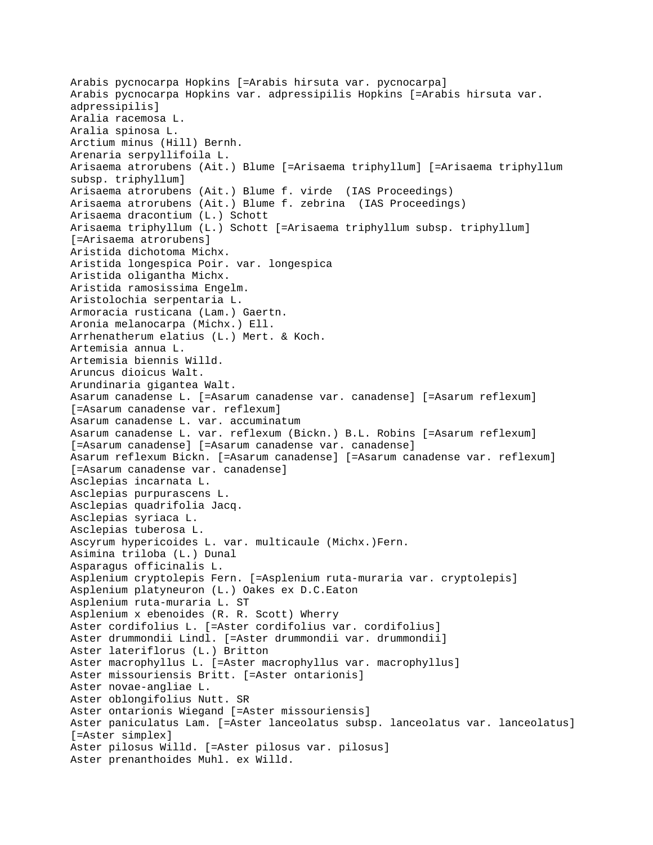Arabis pycnocarpa Hopkins [=Arabis hirsuta var. pycnocarpa] Arabis pycnocarpa Hopkins var. adpressipilis Hopkins [=Arabis hirsuta var. adpressipilis] Aralia racemosa L. Aralia spinosa L. Arctium minus (Hill) Bernh. Arenaria serpyllifoila L. Arisaema atrorubens (Ait.) Blume [=Arisaema triphyllum] [=Arisaema triphyllum subsp. triphyllum] Arisaema atrorubens (Ait.) Blume f. virde (IAS Proceedings) Arisaema atrorubens (Ait.) Blume f. zebrina (IAS Proceedings) Arisaema dracontium (L.) Schott Arisaema triphyllum (L.) Schott [=Arisaema triphyllum subsp. triphyllum] [=Arisaema atrorubens] Aristida dichotoma Michx. Aristida longespica Poir. var. longespica Aristida oligantha Michx. Aristida ramosissima Engelm. Aristolochia serpentaria L. Armoracia rusticana (Lam.) Gaertn. Aronia melanocarpa (Michx.) Ell. Arrhenatherum elatius (L.) Mert. & Koch. Artemisia annua L. Artemisia biennis Willd. Aruncus dioicus Walt. Arundinaria gigantea Walt. Asarum canadense L. [=Asarum canadense var. canadense] [=Asarum reflexum] [=Asarum canadense var. reflexum] Asarum canadense L. var. accuminatum Asarum canadense L. var. reflexum (Bickn.) B.L. Robins [=Asarum reflexum] [=Asarum canadense] [=Asarum canadense var. canadense] Asarum reflexum Bickn. [=Asarum canadense] [=Asarum canadense var. reflexum] [=Asarum canadense var. canadense] Asclepias incarnata L. Asclepias purpurascens L. Asclepias quadrifolia Jacq. Asclepias syriaca L. Asclepias tuberosa L. Ascyrum hypericoides L. var. multicaule (Michx.)Fern. Asimina triloba (L.) Dunal Asparagus officinalis L. Asplenium cryptolepis Fern. [=Asplenium ruta-muraria var. cryptolepis] Asplenium platyneuron (L.) Oakes ex D.C.Eaton Asplenium ruta-muraria L. ST Asplenium x ebenoides (R. R. Scott) Wherry Aster cordifolius L. [=Aster cordifolius var. cordifolius] Aster drummondii Lindl. [=Aster drummondii var. drummondii] Aster lateriflorus (L.) Britton Aster macrophyllus L. [=Aster macrophyllus var. macrophyllus] Aster missouriensis Britt. [=Aster ontarionis] Aster novae-angliae L. Aster oblongifolius Nutt. SR Aster ontarionis Wiegand [=Aster missouriensis] Aster paniculatus Lam. [=Aster lanceolatus subsp. lanceolatus var. lanceolatus] [=Aster simplex] Aster pilosus Willd. [=Aster pilosus var. pilosus] Aster prenanthoides Muhl. ex Willd.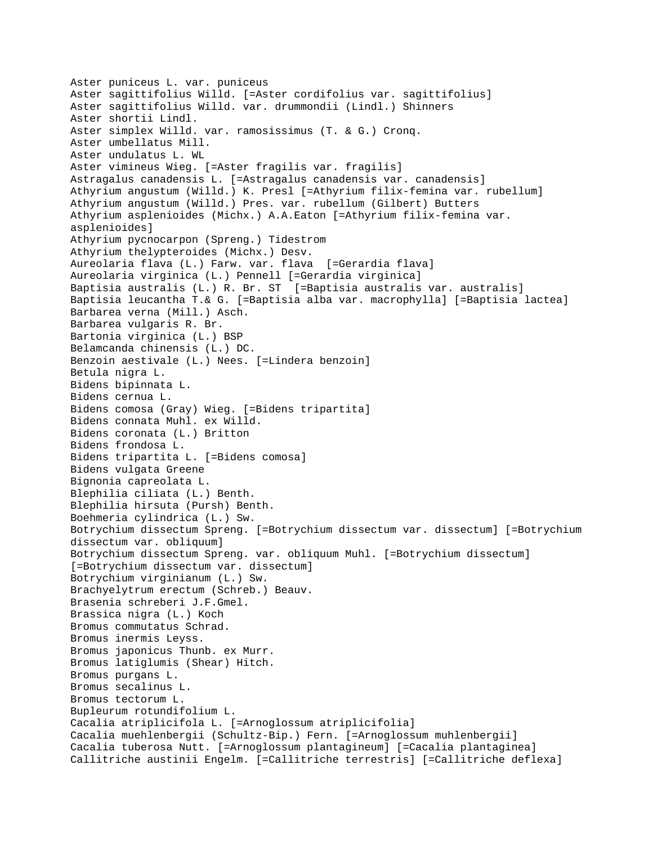```
Aster puniceus L. var. puniceus
Aster sagittifolius Willd. [=Aster cordifolius var. sagittifolius]
Aster sagittifolius Willd. var. drummondii (Lindl.) Shinners
Aster shortii Lindl.
Aster simplex Willd. var. ramosissimus (T. & G.) Cronq.
Aster umbellatus Mill.
Aster undulatus L. WL
Aster vimineus Wieg. [=Aster fragilis var. fragilis]
Astragalus canadensis L. [=Astragalus canadensis var. canadensis]
Athyrium angustum (Willd.) K. Presl [=Athyrium filix-femina var. rubellum]
Athyrium angustum (Willd.) Pres. var. rubellum (Gilbert) Butters
Athyrium asplenioides (Michx.) A.A.Eaton [=Athyrium filix-femina var. 
asplenioides]
Athyrium pycnocarpon (Spreng.) Tidestrom
Athyrium thelypteroides (Michx.) Desv.
Aureolaria flava (L.) Farw. var. flava [=Gerardia flava]
Aureolaria virginica (L.) Pennell [=Gerardia virginica]
Baptisia australis (L.) R. Br. ST [=Baptisia australis var. australis]
Baptisia leucantha T.& G. [=Baptisia alba var. macrophylla] [=Baptisia lactea]
Barbarea verna (Mill.) Asch.
Barbarea vulgaris R. Br.
Bartonia virginica (L.) BSP
Belamcanda chinensis (L.) DC.
Benzoin aestivale (L.) Nees. [=Lindera benzoin]
Betula nigra L.
Bidens bipinnata L.
Bidens cernua L.
Bidens comosa (Gray) Wieg. [=Bidens tripartita]
Bidens connata Muhl. ex Willd.
Bidens coronata (L.) Britton
Bidens frondosa L.
Bidens tripartita L. [=Bidens comosa]
Bidens vulgata Greene
Bignonia capreolata L.
Blephilia ciliata (L.) Benth.
Blephilia hirsuta (Pursh) Benth.
Boehmeria cylindrica (L.) Sw.
Botrychium dissectum Spreng. [=Botrychium dissectum var. dissectum] [=Botrychium 
dissectum var. obliquum]
Botrychium dissectum Spreng. var. obliquum Muhl. [=Botrychium dissectum] 
[=Botrychium dissectum var. dissectum]
Botrychium virginianum (L.) Sw.
Brachyelytrum erectum (Schreb.) Beauv.
Brasenia schreberi J.F.Gmel.
Brassica nigra (L.) Koch
Bromus commutatus Schrad.
Bromus inermis Leyss.
Bromus japonicus Thunb. ex Murr.
Bromus latiglumis (Shear) Hitch.
Bromus purgans L.
Bromus secalinus L.
Bromus tectorum L.
Bupleurum rotundifolium L.
Cacalia atriplicifola L. [=Arnoglossum atriplicifolia]
Cacalia muehlenbergii (Schultz-Bip.) Fern. [=Arnoglossum muhlenbergii]
Cacalia tuberosa Nutt. [=Arnoglossum plantagineum] [=Cacalia plantaginea]
Callitriche austinii Engelm. [=Callitriche terrestris] [=Callitriche deflexa]
```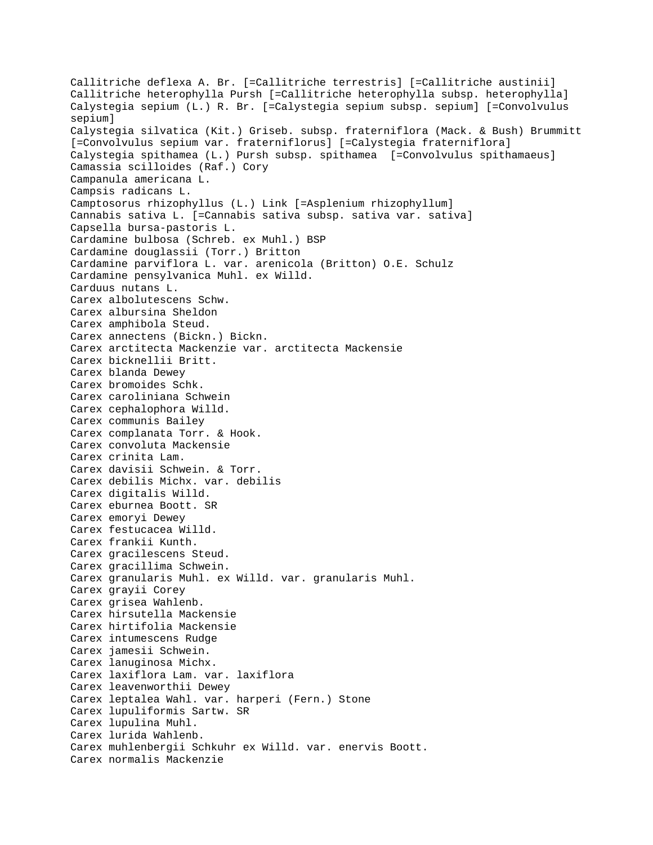Callitriche deflexa A. Br. [=Callitriche terrestris] [=Callitriche austinii] Callitriche heterophylla Pursh [=Callitriche heterophylla subsp. heterophylla] Calystegia sepium (L.) R. Br. [=Calystegia sepium subsp. sepium] [=Convolvulus sepium] Calystegia silvatica (Kit.) Griseb. subsp. fraterniflora (Mack. & Bush) Brummitt [=Convolvulus sepium var. fraterniflorus] [=Calystegia fraterniflora] Calystegia spithamea (L.) Pursh subsp. spithamea [=Convolvulus spithamaeus] Camassia scilloides (Raf.) Cory Campanula americana L. Campsis radicans L. Camptosorus rhizophyllus (L.) Link [=Asplenium rhizophyllum] Cannabis sativa L. [=Cannabis sativa subsp. sativa var. sativa] Capsella bursa-pastoris L. Cardamine bulbosa (Schreb. ex Muhl.) BSP Cardamine douglassii (Torr.) Britton Cardamine parviflora L. var. arenicola (Britton) O.E. Schulz Cardamine pensylvanica Muhl. ex Willd. Carduus nutans L. Carex albolutescens Schw. Carex albursina Sheldon Carex amphibola Steud. Carex annectens (Bickn.) Bickn. Carex arctitecta Mackenzie var. arctitecta Mackensie Carex bicknellii Britt. Carex blanda Dewey Carex bromoides Schk. Carex caroliniana Schwein Carex cephalophora Willd. Carex communis Bailey Carex complanata Torr. & Hook. Carex convoluta Mackensie Carex crinita Lam. Carex davisii Schwein. & Torr. Carex debilis Michx. var. debilis Carex digitalis Willd. Carex eburnea Boott. SR Carex emoryi Dewey Carex festucacea Willd. Carex frankii Kunth. Carex gracilescens Steud. Carex gracillima Schwein. Carex granularis Muhl. ex Willd. var. granularis Muhl. Carex grayii Corey Carex grisea Wahlenb. Carex hirsutella Mackensie Carex hirtifolia Mackensie Carex intumescens Rudge Carex jamesii Schwein. Carex lanuginosa Michx. Carex laxiflora Lam. var. laxiflora Carex leavenworthii Dewey Carex leptalea Wahl. var. harperi (Fern.) Stone Carex lupuliformis Sartw. SR Carex lupulina Muhl. Carex lurida Wahlenb. Carex muhlenbergii Schkuhr ex Willd. var. enervis Boott. Carex normalis Mackenzie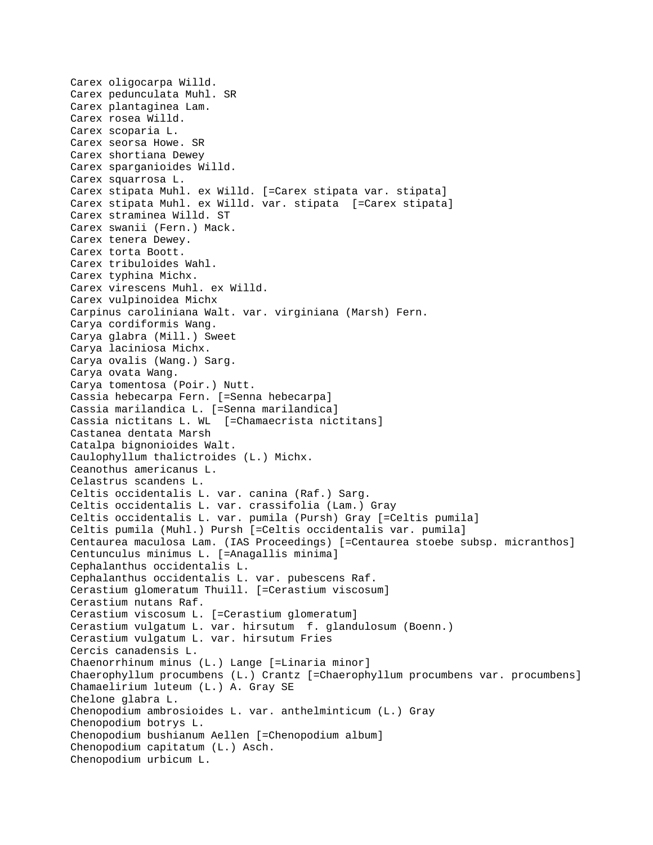Carex oligocarpa Willd. Carex pedunculata Muhl. SR Carex plantaginea Lam. Carex rosea Willd. Carex scoparia L. Carex seorsa Howe. SR Carex shortiana Dewey Carex sparganioides Willd. Carex squarrosa L. Carex stipata Muhl. ex Willd. [=Carex stipata var. stipata] Carex stipata Muhl. ex Willd. var. stipata [=Carex stipata] Carex straminea Willd. ST Carex swanii (Fern.) Mack. Carex tenera Dewey. Carex torta Boott. Carex tribuloides Wahl. Carex typhina Michx. Carex virescens Muhl. ex Willd. Carex vulpinoidea Michx Carpinus caroliniana Walt. var. virginiana (Marsh) Fern. Carya cordiformis Wang. Carya glabra (Mill.) Sweet Carya laciniosa Michx. Carya ovalis (Wang.) Sarg. Carya ovata Wang. Carya tomentosa (Poir.) Nutt. Cassia hebecarpa Fern. [=Senna hebecarpa] Cassia marilandica L. [=Senna marilandica] Cassia nictitans L. WL [=Chamaecrista nictitans] Castanea dentata Marsh Catalpa bignonioides Walt. Caulophyllum thalictroides (L.) Michx. Ceanothus americanus L. Celastrus scandens L. Celtis occidentalis L. var. canina (Raf.) Sarg. Celtis occidentalis L. var. crassifolia (Lam.) Gray Celtis occidentalis L. var. pumila (Pursh) Gray [=Celtis pumila] Celtis pumila (Muhl.) Pursh [=Celtis occidentalis var. pumila] Centaurea maculosa Lam. (IAS Proceedings) [=Centaurea stoebe subsp. micranthos] Centunculus minimus L. [=Anagallis minima] Cephalanthus occidentalis L. Cephalanthus occidentalis L. var. pubescens Raf. Cerastium glomeratum Thuill. [=Cerastium viscosum] Cerastium nutans Raf. Cerastium viscosum L. [=Cerastium glomeratum] Cerastium vulgatum L. var. hirsutum f. glandulosum (Boenn.) Cerastium vulgatum L. var. hirsutum Fries Cercis canadensis L. Chaenorrhinum minus (L.) Lange [=Linaria minor] Chaerophyllum procumbens (L.) Crantz [=Chaerophyllum procumbens var. procumbens] Chamaelirium luteum (L.) A. Gray SE Chelone glabra L. Chenopodium ambrosioides L. var. anthelminticum (L.) Gray Chenopodium botrys L. Chenopodium bushianum Aellen [=Chenopodium album] Chenopodium capitatum (L.) Asch. Chenopodium urbicum L.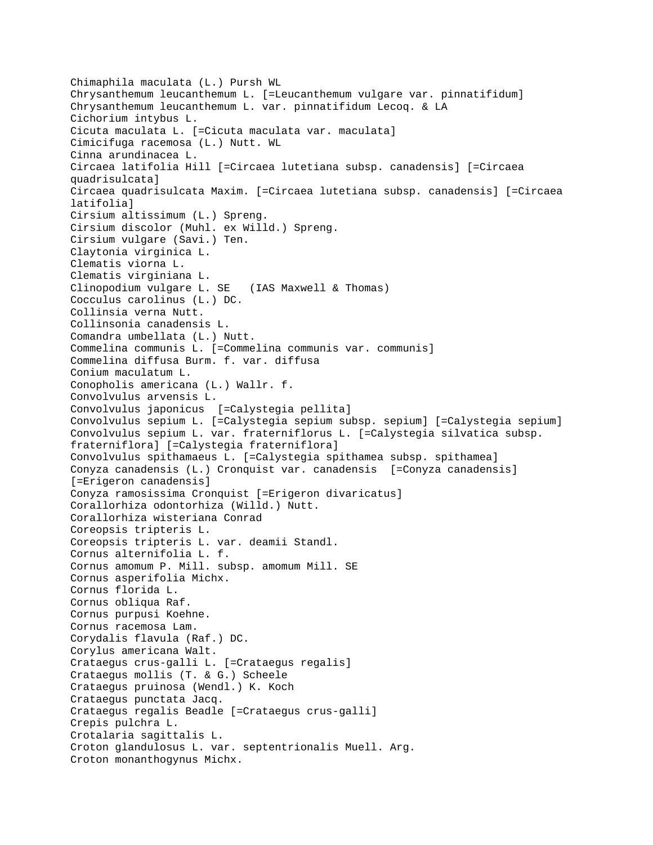Chimaphila maculata (L.) Pursh WL Chrysanthemum leucanthemum L. [=Leucanthemum vulgare var. pinnatifidum] Chrysanthemum leucanthemum L. var. pinnatifidum Lecoq. & LA Cichorium intybus L. Cicuta maculata L. [=Cicuta maculata var. maculata] Cimicifuga racemosa (L.) Nutt. WL Cinna arundinacea L. Circaea latifolia Hill [=Circaea lutetiana subsp. canadensis] [=Circaea quadrisulcata] Circaea quadrisulcata Maxim. [=Circaea lutetiana subsp. canadensis] [=Circaea latifolia] Cirsium altissimum (L.) Spreng. Cirsium discolor (Muhl. ex Willd.) Spreng. Cirsium vulgare (Savi.) Ten. Claytonia virginica L. Clematis viorna L. Clematis virginiana L. Clinopodium vulgare L. SE (IAS Maxwell & Thomas) Cocculus carolinus (L.) DC. Collinsia verna Nutt. Collinsonia canadensis L. Comandra umbellata (L.) Nutt. Commelina communis L. [=Commelina communis var. communis] Commelina diffusa Burm. f. var. diffusa Conium maculatum L. Conopholis americana (L.) Wallr. f. Convolvulus arvensis L. Convolvulus japonicus [=Calystegia pellita] Convolvulus sepium L. [=Calystegia sepium subsp. sepium] [=Calystegia sepium] Convolvulus sepium L. var. fraterniflorus L. [=Calystegia silvatica subsp. fraterniflora] [=Calystegia fraterniflora] Convolvulus spithamaeus L. [=Calystegia spithamea subsp. spithamea] Conyza canadensis (L.) Cronquist var. canadensis [=Conyza canadensis] [=Erigeron canadensis] Conyza ramosissima Cronquist [=Erigeron divaricatus] Corallorhiza odontorhiza (Willd.) Nutt. Corallorhiza wisteriana Conrad Coreopsis tripteris L. Coreopsis tripteris L. var. deamii Standl. Cornus alternifolia L. f. Cornus amomum P. Mill. subsp. amomum Mill. SE Cornus asperifolia Michx. Cornus florida L. Cornus obliqua Raf. Cornus purpusi Koehne. Cornus racemosa Lam. Corydalis flavula (Raf.) DC. Corylus americana Walt. Crataegus crus-galli L. [=Crataegus regalis] Crataegus mollis (T. & G.) Scheele Crataegus pruinosa (Wendl.) K. Koch Crataegus punctata Jacq. Crataegus regalis Beadle [=Crataegus crus-galli] Crepis pulchra L. Crotalaria sagittalis L. Croton glandulosus L. var. septentrionalis Muell. Arg. Croton monanthogynus Michx.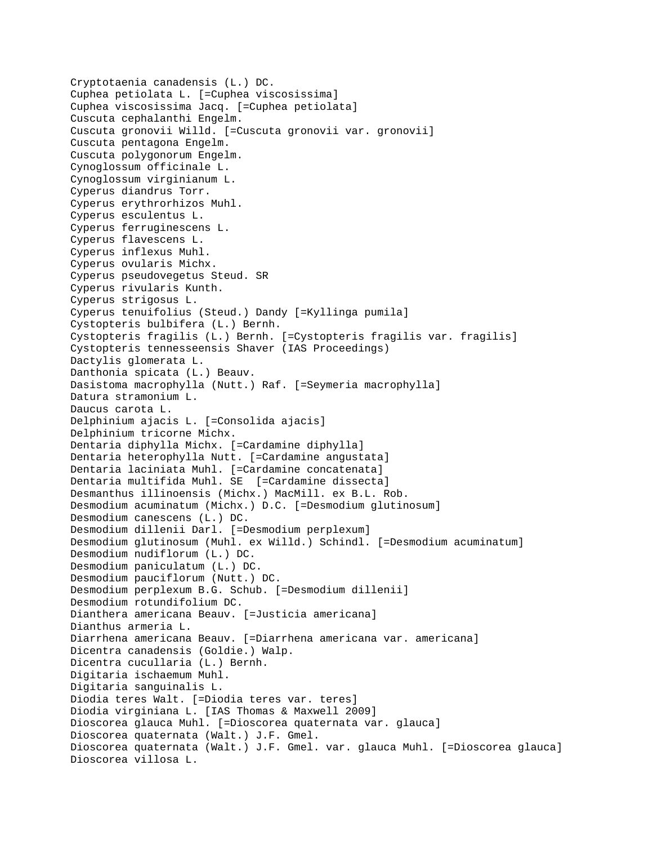```
Cryptotaenia canadensis (L.) DC.
Cuphea petiolata L. [=Cuphea viscosissima]
Cuphea viscosissima Jacq. [=Cuphea petiolata]
Cuscuta cephalanthi Engelm.
Cuscuta gronovii Willd. [=Cuscuta gronovii var. gronovii]
Cuscuta pentagona Engelm.
Cuscuta polygonorum Engelm.
Cynoglossum officinale L.
Cynoglossum virginianum L.
Cyperus diandrus Torr.
Cyperus erythrorhizos Muhl.
Cyperus esculentus L.
Cyperus ferruginescens L.
Cyperus flavescens L.
Cyperus inflexus Muhl.
Cyperus ovularis Michx.
Cyperus pseudovegetus Steud. SR 
Cyperus rivularis Kunth.
Cyperus strigosus L.
Cyperus tenuifolius (Steud.) Dandy [=Kyllinga pumila]
Cystopteris bulbifera (L.) Bernh.
Cystopteris fragilis (L.) Bernh. [=Cystopteris fragilis var. fragilis]
Cystopteris tennesseensis Shaver (IAS Proceedings)
Dactylis glomerata L.
Danthonia spicata (L.) Beauv.
Dasistoma macrophylla (Nutt.) Raf. [=Seymeria macrophylla]
Datura stramonium L.
Daucus carota L.
Delphinium ajacis L. [=Consolida ajacis]
Delphinium tricorne Michx.
Dentaria diphylla Michx. [=Cardamine diphylla]
Dentaria heterophylla Nutt. [=Cardamine angustata]
Dentaria laciniata Muhl. [=Cardamine concatenata]
Dentaria multifida Muhl. SE [=Cardamine dissecta]
Desmanthus illinoensis (Michx.) MacMill. ex B.L. Rob.
Desmodium acuminatum (Michx.) D.C. [=Desmodium glutinosum]
Desmodium canescens (L.) DC.
Desmodium dillenii Darl. [=Desmodium perplexum]
Desmodium glutinosum (Muhl. ex Willd.) Schindl. [=Desmodium acuminatum]
Desmodium nudiflorum (L.) DC.
Desmodium paniculatum (L.) DC.
Desmodium pauciflorum (Nutt.) DC.
Desmodium perplexum B.G. Schub. [=Desmodium dillenii]
Desmodium rotundifolium DC.
Dianthera americana Beauv. [=Justicia americana]
Dianthus armeria L.
Diarrhena americana Beauv. [=Diarrhena americana var. americana]
Dicentra canadensis (Goldie.) Walp.
Dicentra cucullaria (L.) Bernh.
Digitaria ischaemum Muhl.
Digitaria sanguinalis L.
Diodia teres Walt. [=Diodia teres var. teres]
Diodia virginiana L. [IAS Thomas & Maxwell 2009]
Dioscorea glauca Muhl. [=Dioscorea quaternata var. glauca]
Dioscorea quaternata (Walt.) J.F. Gmel.
Dioscorea quaternata (Walt.) J.F. Gmel. var. glauca Muhl. [=Dioscorea glauca]
Dioscorea villosa L.
```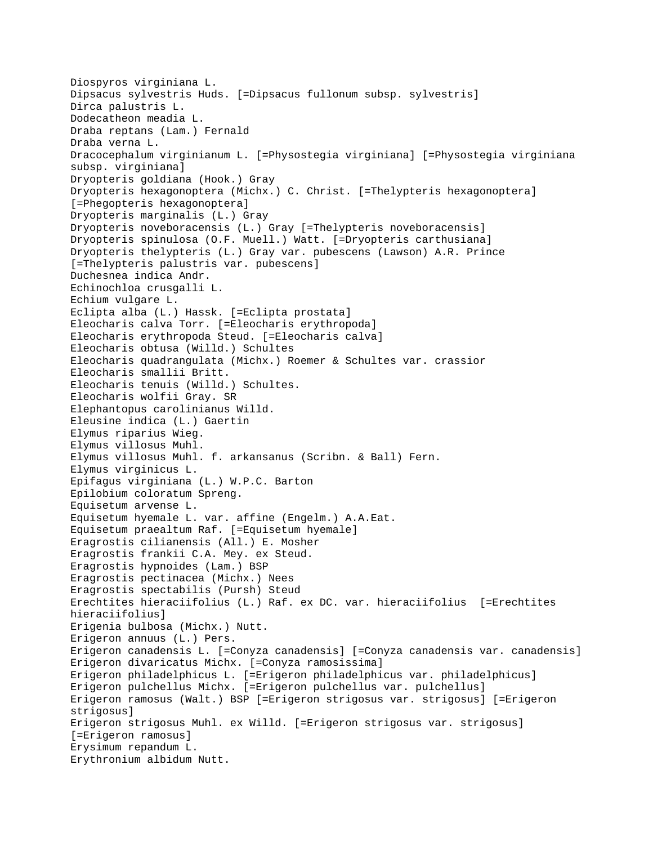```
Diospyros virginiana L.
Dipsacus sylvestris Huds. [=Dipsacus fullonum subsp. sylvestris]
Dirca palustris L.
Dodecatheon meadia L.
Draba reptans (Lam.) Fernald
Draba verna L.
Dracocephalum virginianum L. [=Physostegia virginiana] [=Physostegia virginiana 
subsp. virginiana]
Dryopteris goldiana (Hook.) Gray
Dryopteris hexagonoptera (Michx.) C. Christ. [=Thelypteris hexagonoptera] 
[=Phegopteris hexagonoptera]
Dryopteris marginalis (L.) Gray
Dryopteris noveboracensis (L.) Gray [=Thelypteris noveboracensis]
Dryopteris spinulosa (O.F. Muell.) Watt. [=Dryopteris carthusiana]
Dryopteris thelypteris (L.) Gray var. pubescens (Lawson) A.R. Prince 
[=Thelypteris palustris var. pubescens]
Duchesnea indica Andr.
Echinochloa crusgalli L.
Echium vulgare L.
Eclipta alba (L.) Hassk. [=Eclipta prostata]
Eleocharis calva Torr. [=Eleocharis erythropoda]
Eleocharis erythropoda Steud. [=Eleocharis calva]
Eleocharis obtusa (Willd.) Schultes
Eleocharis quadrangulata (Michx.) Roemer & Schultes var. crassior
Eleocharis smallii Britt.
Eleocharis tenuis (Willd.) Schultes.
Eleocharis wolfii Gray. SR 
Elephantopus carolinianus Willd.
Eleusine indica (L.) Gaertin
Elymus riparius Wieg.
Elymus villosus Muhl.
Elymus villosus Muhl. f. arkansanus (Scribn. & Ball) Fern.
Elymus virginicus L.
Epifagus virginiana (L.) W.P.C. Barton
Epilobium coloratum Spreng.
Equisetum arvense L.
Equisetum hyemale L. var. affine (Engelm.) A.A.Eat.
Equisetum praealtum Raf. [=Equisetum hyemale]
Eragrostis cilianensis (All.) E. Mosher
Eragrostis frankii C.A. Mey. ex Steud.
Eragrostis hypnoides (Lam.) BSP
Eragrostis pectinacea (Michx.) Nees
Eragrostis spectabilis (Pursh) Steud
Erechtites hieraciifolius (L.) Raf. ex DC. var. hieraciifolius [=Erechtites 
hieraciifolius]
Erigenia bulbosa (Michx.) Nutt.
Erigeron annuus (L.) Pers.
Erigeron canadensis L. [=Conyza canadensis] [=Conyza canadensis var. canadensis]
Erigeron divaricatus Michx. [=Conyza ramosissima]
Erigeron philadelphicus L. [=Erigeron philadelphicus var. philadelphicus]
Erigeron pulchellus Michx. [=Erigeron pulchellus var. pulchellus]
Erigeron ramosus (Walt.) BSP [=Erigeron strigosus var. strigosus] [=Erigeron 
strigosus]
Erigeron strigosus Muhl. ex Willd. [=Erigeron strigosus var. strigosus] 
[=Erigeron ramosus]
Erysimum repandum L.
Erythronium albidum Nutt.
```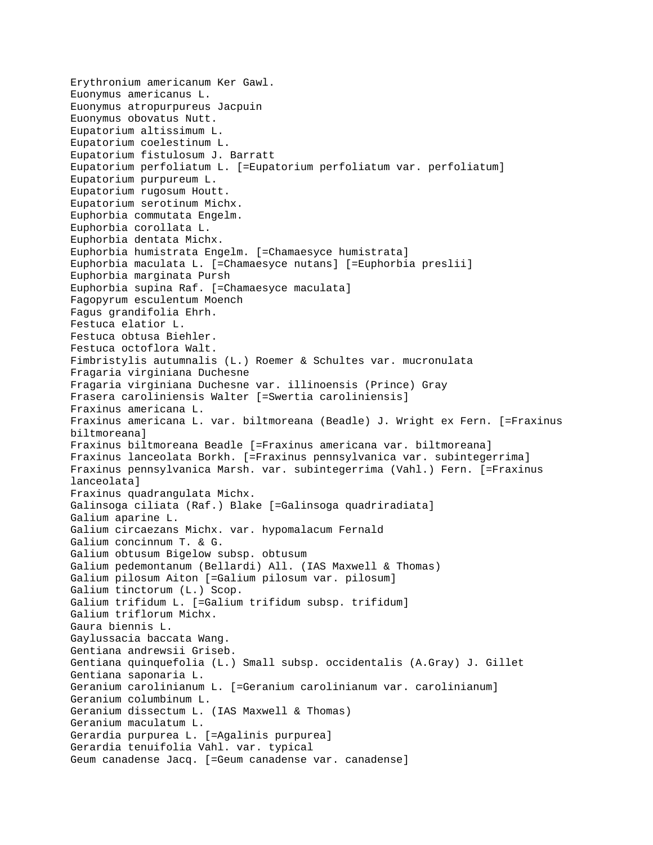Erythronium americanum Ker Gawl. Euonymus americanus L. Euonymus atropurpureus Jacpuin Euonymus obovatus Nutt. Eupatorium altissimum L. Eupatorium coelestinum L. Eupatorium fistulosum J. Barratt Eupatorium perfoliatum L. [=Eupatorium perfoliatum var. perfoliatum] Eupatorium purpureum L. Eupatorium rugosum Houtt. Eupatorium serotinum Michx. Euphorbia commutata Engelm. Euphorbia corollata L. Euphorbia dentata Michx. Euphorbia humistrata Engelm. [=Chamaesyce humistrata] Euphorbia maculata L. [=Chamaesyce nutans] [=Euphorbia preslii] Euphorbia marginata Pursh Euphorbia supina Raf. [=Chamaesyce maculata] Fagopyrum esculentum Moench Fagus grandifolia Ehrh. Festuca elatior L. Festuca obtusa Biehler. Festuca octoflora Walt. Fimbristylis autumnalis (L.) Roemer & Schultes var. mucronulata Fragaria virginiana Duchesne Fragaria virginiana Duchesne var. illinoensis (Prince) Gray Frasera caroliniensis Walter [=Swertia caroliniensis] Fraxinus americana L. Fraxinus americana L. var. biltmoreana (Beadle) J. Wright ex Fern. [=Fraxinus biltmoreana] Fraxinus biltmoreana Beadle [=Fraxinus americana var. biltmoreana] Fraxinus lanceolata Borkh. [=Fraxinus pennsylvanica var. subintegerrima] Fraxinus pennsylvanica Marsh. var. subintegerrima (Vahl.) Fern. [=Fraxinus lanceolata] Fraxinus quadrangulata Michx. Galinsoga ciliata (Raf.) Blake [=Galinsoga quadriradiata] Galium aparine L. Galium circaezans Michx. var. hypomalacum Fernald Galium concinnum T. & G. Galium obtusum Bigelow subsp. obtusum Galium pedemontanum (Bellardi) All. (IAS Maxwell & Thomas) Galium pilosum Aiton [=Galium pilosum var. pilosum] Galium tinctorum (L.) Scop. Galium trifidum L. [=Galium trifidum subsp. trifidum] Galium triflorum Michx. Gaura biennis L. Gaylussacia baccata Wang. Gentiana andrewsii Griseb. Gentiana quinquefolia (L.) Small subsp. occidentalis (A.Gray) J. Gillet Gentiana saponaria L. Geranium carolinianum L. [=Geranium carolinianum var. carolinianum] Geranium columbinum L. Geranium dissectum L. (IAS Maxwell & Thomas) Geranium maculatum L. Gerardia purpurea L. [=Agalinis purpurea] Gerardia tenuifolia Vahl. var. typical Geum canadense Jacq. [=Geum canadense var. canadense]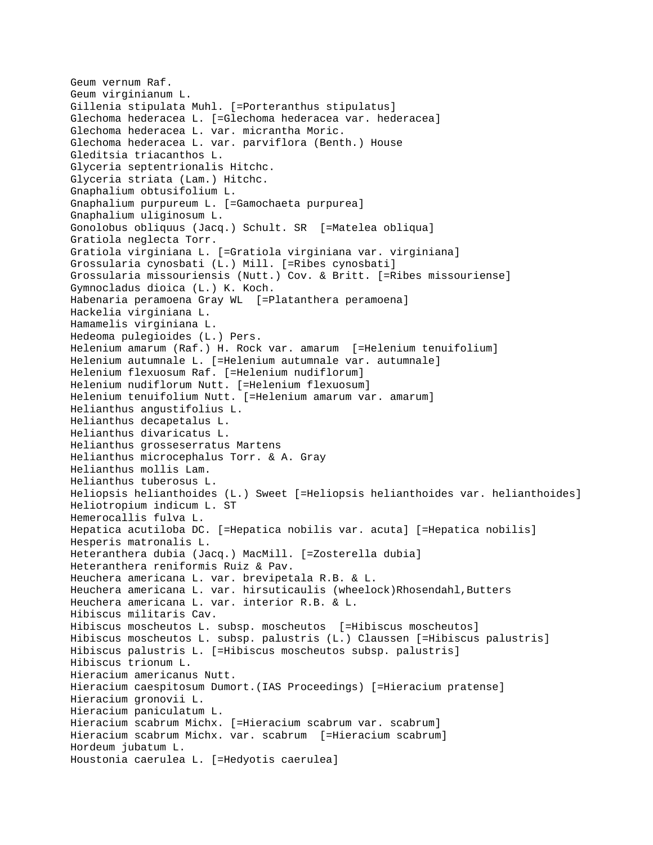```
Geum vernum Raf.
Geum virginianum L.
Gillenia stipulata Muhl. [=Porteranthus stipulatus]
Glechoma hederacea L. [=Glechoma hederacea var. hederacea]
Glechoma hederacea L. var. micrantha Moric.
Glechoma hederacea L. var. parviflora (Benth.) House
Gleditsia triacanthos L.
Glyceria septentrionalis Hitchc.
Glyceria striata (Lam.) Hitchc.
Gnaphalium obtusifolium L.
Gnaphalium purpureum L. [=Gamochaeta purpurea]
Gnaphalium uliginosum L.
Gonolobus obliquus (Jacq.) Schult. SR [=Matelea obliqua]
Gratiola neglecta Torr.
Gratiola virginiana L. [=Gratiola virginiana var. virginiana]
Grossularia cynosbati (L.) Mill. [=Ribes cynosbati]
Grossularia missouriensis (Nutt.) Cov. & Britt. [=Ribes missouriense]
Gymnocladus dioica (L.) K. Koch.
Habenaria peramoena Gray WL [=Platanthera peramoena]
Hackelia virginiana L.
Hamamelis virginiana L.
Hedeoma pulegioides (L.) Pers.
Helenium amarum (Raf.) H. Rock var. amarum [=Helenium tenuifolium]
Helenium autumnale L. [=Helenium autumnale var. autumnale]
Helenium flexuosum Raf. [=Helenium nudiflorum]
Helenium nudiflorum Nutt. [=Helenium flexuosum]
Helenium tenuifolium Nutt. [=Helenium amarum var. amarum]
Helianthus angustifolius L.
Helianthus decapetalus L.
Helianthus divaricatus L.
Helianthus grosseserratus Martens
Helianthus microcephalus Torr. & A. Gray
Helianthus mollis Lam.
Helianthus tuberosus L.
Heliopsis helianthoides (L.) Sweet [=Heliopsis helianthoides var. helianthoides]
Heliotropium indicum L. ST 
Hemerocallis fulva L.
Hepatica acutiloba DC. [=Hepatica nobilis var. acuta] [=Hepatica nobilis]
Hesperis matronalis L.
Heteranthera dubia (Jacq.) MacMill. [=Zosterella dubia]
Heteranthera reniformis Ruiz & Pav.
Heuchera americana L. var. brevipetala R.B. & L.
Heuchera americana L. var. hirsuticaulis (wheelock)Rhosendahl,Butters
Heuchera americana L. var. interior R.B. & L.
Hibiscus militaris Cav.
Hibiscus moscheutos L. subsp. moscheutos [=Hibiscus moscheutos]
Hibiscus moscheutos L. subsp. palustris (L.) Claussen [=Hibiscus palustris]
Hibiscus palustris L. [=Hibiscus moscheutos subsp. palustris]
Hibiscus trionum L.
Hieracium americanus Nutt.
Hieracium caespitosum Dumort.(IAS Proceedings) [=Hieracium pratense]
Hieracium gronovii L.
Hieracium paniculatum L.
Hieracium scabrum Michx. [=Hieracium scabrum var. scabrum]
Hieracium scabrum Michx. var. scabrum [=Hieracium scabrum]
Hordeum jubatum L.
Houstonia caerulea L. [=Hedyotis caerulea]
```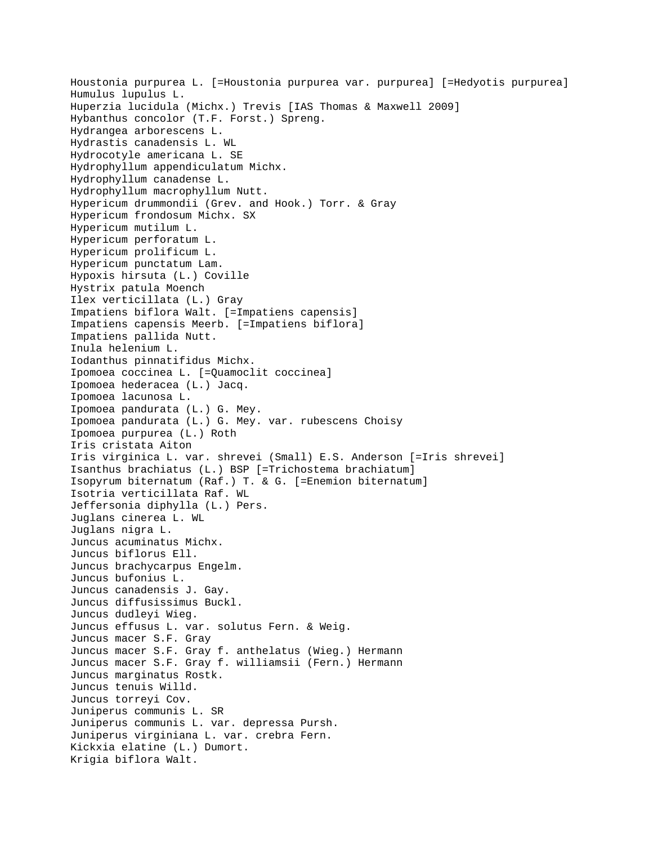Houstonia purpurea L. [=Houstonia purpurea var. purpurea] [=Hedyotis purpurea] Humulus lupulus L. Huperzia lucidula (Michx.) Trevis [IAS Thomas & Maxwell 2009] Hybanthus concolor (T.F. Forst.) Spreng. Hydrangea arborescens L. Hydrastis canadensis L. WL Hydrocotyle americana L. SE Hydrophyllum appendiculatum Michx. Hydrophyllum canadense L. Hydrophyllum macrophyllum Nutt. Hypericum drummondii (Grev. and Hook.) Torr. & Gray Hypericum frondosum Michx. SX Hypericum mutilum L. Hypericum perforatum L. Hypericum prolificum L. Hypericum punctatum Lam. Hypoxis hirsuta (L.) Coville Hystrix patula Moench Ilex verticillata (L.) Gray Impatiens biflora Walt. [=Impatiens capensis] Impatiens capensis Meerb. [=Impatiens biflora] Impatiens pallida Nutt. Inula helenium L. Iodanthus pinnatifidus Michx. Ipomoea coccinea L. [=Quamoclit coccinea] Ipomoea hederacea (L.) Jacq. Ipomoea lacunosa L. Ipomoea pandurata (L.) G. Mey. Ipomoea pandurata (L.) G. Mey. var. rubescens Choisy Ipomoea purpurea (L.) Roth Iris cristata Aiton Iris virginica L. var. shrevei (Small) E.S. Anderson [=Iris shrevei] Isanthus brachiatus (L.) BSP [=Trichostema brachiatum] Isopyrum biternatum (Raf.) T. & G. [=Enemion biternatum] Isotria verticillata Raf. WL Jeffersonia diphylla (L.) Pers. Juglans cinerea L. WL Juglans nigra L. Juncus acuminatus Michx. Juncus biflorus Ell. Juncus brachycarpus Engelm. Juncus bufonius L. Juncus canadensis J. Gay. Juncus diffusissimus Buckl. Juncus dudleyi Wieg. Juncus effusus L. var. solutus Fern. & Weig. Juncus macer S.F. Gray Juncus macer S.F. Gray f. anthelatus (Wieg.) Hermann Juncus macer S.F. Gray f. williamsii (Fern.) Hermann Juncus marginatus Rostk. Juncus tenuis Willd. Juncus torreyi Cov. Juniperus communis L. SR Juniperus communis L. var. depressa Pursh. Juniperus virginiana L. var. crebra Fern. Kickxia elatine (L.) Dumort. Krigia biflora Walt.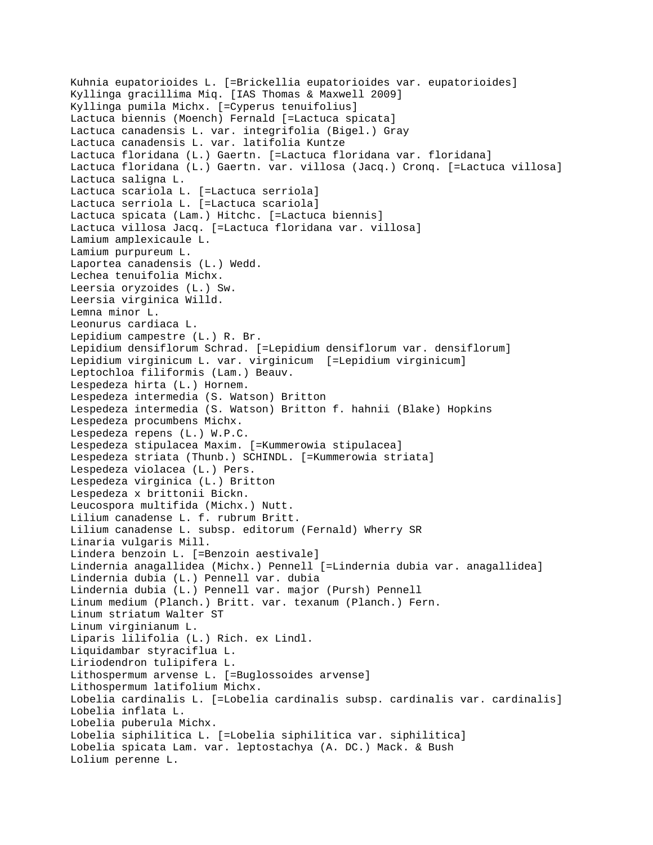```
Kuhnia eupatorioides L. [=Brickellia eupatorioides var. eupatorioides]
Kyllinga gracillima Miq. [IAS Thomas & Maxwell 2009]
Kyllinga pumila Michx. [=Cyperus tenuifolius]
Lactuca biennis (Moench) Fernald [=Lactuca spicata]
Lactuca canadensis L. var. integrifolia (Bigel.) Gray
Lactuca canadensis L. var. latifolia Kuntze
Lactuca floridana (L.) Gaertn. [=Lactuca floridana var. floridana]
Lactuca floridana (L.) Gaertn. var. villosa (Jacq.) Cronq. [=Lactuca villosa]
Lactuca saligna L.
Lactuca scariola L. [=Lactuca serriola]
Lactuca serriola L. [=Lactuca scariola]
Lactuca spicata (Lam.) Hitchc. [=Lactuca biennis]
Lactuca villosa Jacq. [=Lactuca floridana var. villosa]
Lamium amplexicaule L.
Lamium purpureum L.
Laportea canadensis (L.) Wedd.
Lechea tenuifolia Michx.
Leersia oryzoides (L.) Sw.
Leersia virginica Willd.
Lemna minor L.
Leonurus cardiaca L.
Lepidium campestre (L.) R. Br.
Lepidium densiflorum Schrad. [=Lepidium densiflorum var. densiflorum]
Lepidium virginicum L. var. virginicum [=Lepidium virginicum]
Leptochloa filiformis (Lam.) Beauv.
Lespedeza hirta (L.) Hornem.
Lespedeza intermedia (S. Watson) Britton
Lespedeza intermedia (S. Watson) Britton f. hahnii (Blake) Hopkins
Lespedeza procumbens Michx.
Lespedeza repens (L.) W.P.C.
Lespedeza stipulacea Maxim. [=Kummerowia stipulacea]
Lespedeza striata (Thunb.) SCHINDL. [=Kummerowia striata]
Lespedeza violacea (L.) Pers.
Lespedeza virginica (L.) Britton
Lespedeza x brittonii Bickn.
Leucospora multifida (Michx.) Nutt.
Lilium canadense L. f. rubrum Britt.
Lilium canadense L. subsp. editorum (Fernald) Wherry SR 
Linaria vulgaris Mill.
Lindera benzoin L. [=Benzoin aestivale]
Lindernia anagallidea (Michx.) Pennell [=Lindernia dubia var. anagallidea]
Lindernia dubia (L.) Pennell var. dubia 
Lindernia dubia (L.) Pennell var. major (Pursh) Pennell
Linum medium (Planch.) Britt. var. texanum (Planch.) Fern.
Linum striatum Walter ST 
Linum virginianum L.
Liparis lilifolia (L.) Rich. ex Lindl.
Liquidambar styraciflua L.
Liriodendron tulipifera L.
Lithospermum arvense L. [=Buglossoides arvense]
Lithospermum latifolium Michx.
Lobelia cardinalis L. [=Lobelia cardinalis subsp. cardinalis var. cardinalis]
Lobelia inflata L.
Lobelia puberula Michx.
Lobelia siphilitica L. [=Lobelia siphilitica var. siphilitica]
Lobelia spicata Lam. var. leptostachya (A. DC.) Mack. & Bush
Lolium perenne L.
```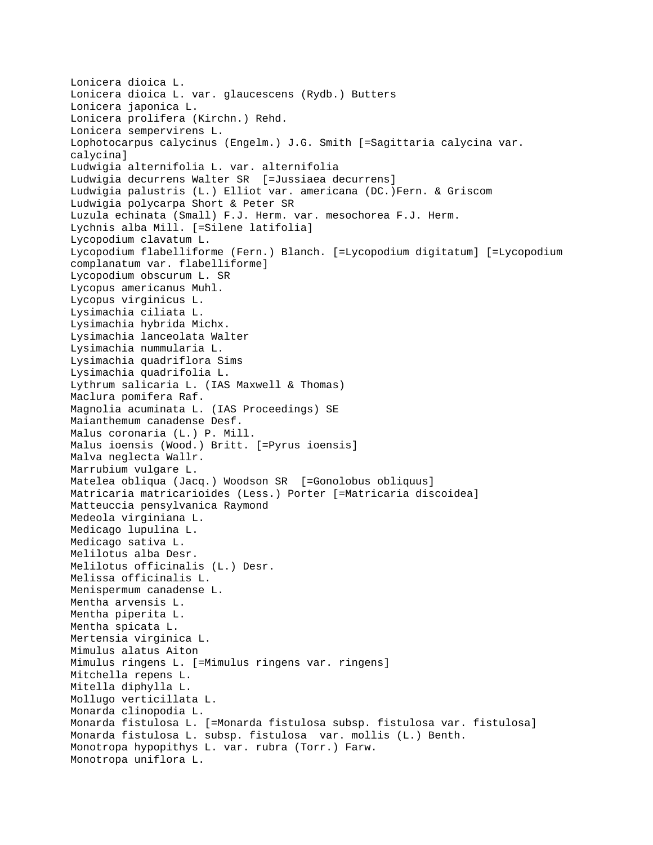Lonicera dioica L. Lonicera dioica L. var. glaucescens (Rydb.) Butters Lonicera japonica L. Lonicera prolifera (Kirchn.) Rehd. Lonicera sempervirens L. Lophotocarpus calycinus (Engelm.) J.G. Smith [=Sagittaria calycina var. calycina] Ludwigia alternifolia L. var. alternifolia Ludwigia decurrens Walter SR [=Jussiaea decurrens] Ludwigia palustris (L.) Elliot var. americana (DC.)Fern. & Griscom Ludwigia polycarpa Short & Peter SR Luzula echinata (Small) F.J. Herm. var. mesochorea F.J. Herm. Lychnis alba Mill. [=Silene latifolia] Lycopodium clavatum L. Lycopodium flabelliforme (Fern.) Blanch. [=Lycopodium digitatum] [=Lycopodium complanatum var. flabelliforme] Lycopodium obscurum L. SR Lycopus americanus Muhl. Lycopus virginicus L. Lysimachia ciliata L. Lysimachia hybrida Michx. Lysimachia lanceolata Walter Lysimachia nummularia L. Lysimachia quadriflora Sims Lysimachia quadrifolia L. Lythrum salicaria L. (IAS Maxwell & Thomas) Maclura pomifera Raf. Magnolia acuminata L. (IAS Proceedings) SE Maianthemum canadense Desf. Malus coronaria (L.) P. Mill. Malus ioensis (Wood.) Britt. [=Pyrus ioensis] Malva neglecta Wallr. Marrubium vulgare L. Matelea obliqua (Jacq.) Woodson SR [=Gonolobus obliquus] Matricaria matricarioides (Less.) Porter [=Matricaria discoidea] Matteuccia pensylvanica Raymond Medeola virginiana L. Medicago lupulina L. Medicago sativa L. Melilotus alba Desr. Melilotus officinalis (L.) Desr. Melissa officinalis L. Menispermum canadense L. Mentha arvensis L. Mentha piperita L. Mentha spicata L. Mertensia virginica L. Mimulus alatus Aiton Mimulus ringens L. [=Mimulus ringens var. ringens] Mitchella repens L. Mitella diphylla L. Mollugo verticillata L. Monarda clinopodia L. Monarda fistulosa L. [=Monarda fistulosa subsp. fistulosa var. fistulosa] Monarda fistulosa L. subsp. fistulosa var. mollis (L.) Benth. Monotropa hypopithys L. var. rubra (Torr.) Farw. Monotropa uniflora L.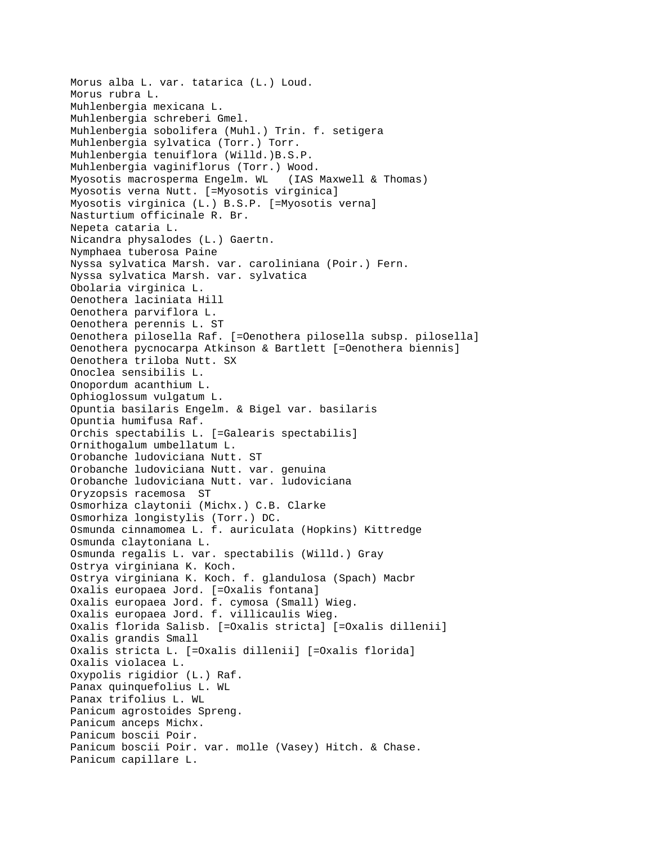Morus alba L. var. tatarica (L.) Loud. Morus rubra L. Muhlenbergia mexicana L. Muhlenbergia schreberi Gmel. Muhlenbergia sobolifera (Muhl.) Trin. f. setigera Muhlenbergia sylvatica (Torr.) Torr. Muhlenbergia tenuiflora (Willd.)B.S.P. Muhlenbergia vaginiflorus (Torr.) Wood. Myosotis macrosperma Engelm. WL (IAS Maxwell & Thomas) Myosotis verna Nutt. [=Myosotis virginica] Myosotis virginica (L.) B.S.P. [=Myosotis verna] Nasturtium officinale R. Br. Nepeta cataria L. Nicandra physalodes (L.) Gaertn. Nymphaea tuberosa Paine Nyssa sylvatica Marsh. var. caroliniana (Poir.) Fern. Nyssa sylvatica Marsh. var. sylvatica Obolaria virginica L. Oenothera laciniata Hill Oenothera parviflora L. Oenothera perennis L. ST Oenothera pilosella Raf. [=Oenothera pilosella subsp. pilosella] Oenothera pycnocarpa Atkinson & Bartlett [=Oenothera biennis] Oenothera triloba Nutt. SX Onoclea sensibilis L. Onopordum acanthium L. Ophioglossum vulgatum L. Opuntia basilaris Engelm. & Bigel var. basilaris Opuntia humifusa Raf. Orchis spectabilis L. [=Galearis spectabilis] Ornithogalum umbellatum L. Orobanche ludoviciana Nutt. ST Orobanche ludoviciana Nutt. var. genuina Orobanche ludoviciana Nutt. var. ludoviciana Oryzopsis racemosa ST Osmorhiza claytonii (Michx.) C.B. Clarke Osmorhiza longistylis (Torr.) DC. Osmunda cinnamomea L. f. auriculata (Hopkins) Kittredge Osmunda claytoniana L. Osmunda regalis L. var. spectabilis (Willd.) Gray Ostrya virginiana K. Koch. Ostrya virginiana K. Koch. f. glandulosa (Spach) Macbr Oxalis europaea Jord. [=Oxalis fontana] Oxalis europaea Jord. f. cymosa (Small) Wieg. Oxalis europaea Jord. f. villicaulis Wieg. Oxalis florida Salisb. [=Oxalis stricta] [=Oxalis dillenii] Oxalis grandis Small Oxalis stricta L. [=Oxalis dillenii] [=Oxalis florida] Oxalis violacea L. Oxypolis rigidior (L.) Raf. Panax quinquefolius L. WL Panax trifolius L. WL Panicum agrostoides Spreng. Panicum anceps Michx. Panicum boscii Poir. Panicum boscii Poir. var. molle (Vasey) Hitch. & Chase. Panicum capillare L.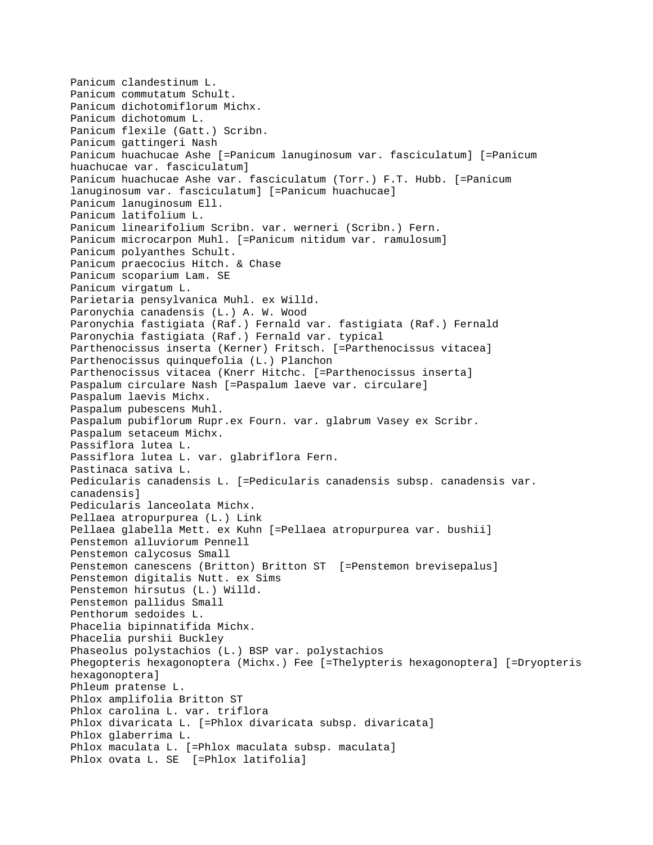Panicum clandestinum L. Panicum commutatum Schult. Panicum dichotomiflorum Michx. Panicum dichotomum L. Panicum flexile (Gatt.) Scribn. Panicum gattingeri Nash Panicum huachucae Ashe [=Panicum lanuginosum var. fasciculatum] [=Panicum huachucae var. fasciculatum] Panicum huachucae Ashe var. fasciculatum (Torr.) F.T. Hubb. [=Panicum lanuginosum var. fasciculatum] [=Panicum huachucae] Panicum lanuginosum Ell. Panicum latifolium L. Panicum linearifolium Scribn. var. werneri (Scribn.) Fern. Panicum microcarpon Muhl. [=Panicum nitidum var. ramulosum] Panicum polyanthes Schult. Panicum praecocius Hitch. & Chase Panicum scoparium Lam. SE Panicum virgatum L. Parietaria pensylvanica Muhl. ex Willd. Paronychia canadensis (L.) A. W. Wood Paronychia fastigiata (Raf.) Fernald var. fastigiata (Raf.) Fernald Paronychia fastigiata (Raf.) Fernald var. typical Parthenocissus inserta (Kerner) Fritsch. [=Parthenocissus vitacea] Parthenocissus quinquefolia (L.) Planchon Parthenocissus vitacea (Knerr Hitchc. [=Parthenocissus inserta] Paspalum circulare Nash [=Paspalum laeve var. circulare] Paspalum laevis Michx. Paspalum pubescens Muhl. Paspalum pubiflorum Rupr.ex Fourn. var. glabrum Vasey ex Scribr. Paspalum setaceum Michx. Passiflora lutea L. Passiflora lutea L. var. glabriflora Fern. Pastinaca sativa L. Pedicularis canadensis L. [=Pedicularis canadensis subsp. canadensis var. canadensis] Pedicularis lanceolata Michx. Pellaea atropurpurea (L.) Link Pellaea glabella Mett. ex Kuhn [=Pellaea atropurpurea var. bushii] Penstemon alluviorum Pennell Penstemon calycosus Small Penstemon canescens (Britton) Britton ST [=Penstemon brevisepalus] Penstemon digitalis Nutt. ex Sims Penstemon hirsutus (L.) Willd. Penstemon pallidus Small Penthorum sedoides L. Phacelia bipinnatifida Michx. Phacelia purshii Buckley Phaseolus polystachios (L.) BSP var. polystachios Phegopteris hexagonoptera (Michx.) Fee [=Thelypteris hexagonoptera] [=Dryopteris hexagonoptera] Phleum pratense L. Phlox amplifolia Britton ST Phlox carolina L. var. triflora Phlox divaricata L. [=Phlox divaricata subsp. divaricata] Phlox glaberrima L. Phlox maculata L. [=Phlox maculata subsp. maculata] Phlox ovata L. SE [=Phlox latifolia]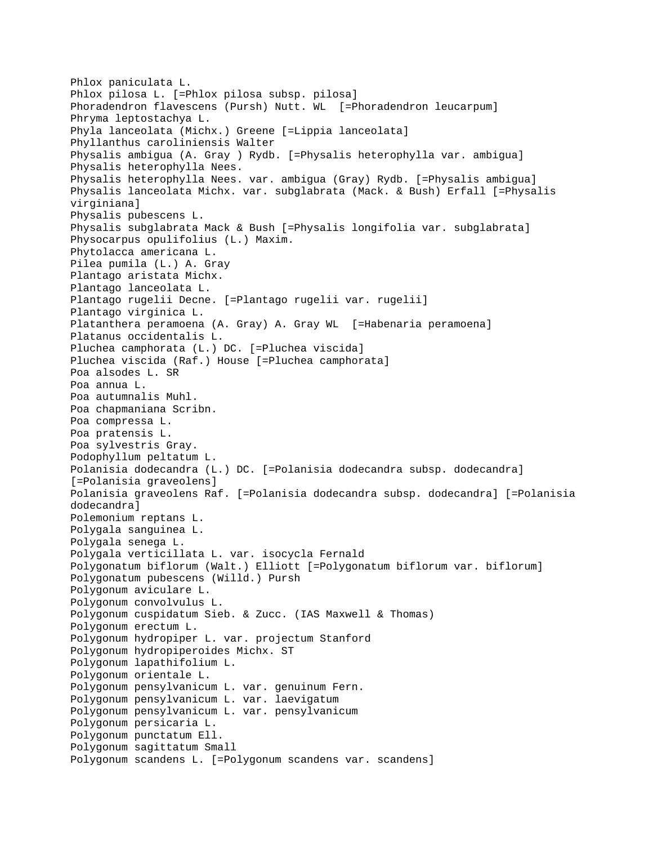Phlox paniculata L. Phlox pilosa L. [=Phlox pilosa subsp. pilosa] Phoradendron flavescens (Pursh) Nutt. WL [=Phoradendron leucarpum] Phryma leptostachya L. Phyla lanceolata (Michx.) Greene [=Lippia lanceolata] Phyllanthus caroliniensis Walter Physalis ambigua (A. Gray ) Rydb. [=Physalis heterophylla var. ambigua] Physalis heterophylla Nees. Physalis heterophylla Nees. var. ambigua (Gray) Rydb. [=Physalis ambigua] Physalis lanceolata Michx. var. subglabrata (Mack. & Bush) Erfall [=Physalis virginiana] Physalis pubescens L. Physalis subglabrata Mack & Bush [=Physalis longifolia var. subglabrata] Physocarpus opulifolius (L.) Maxim. Phytolacca americana L. Pilea pumila (L.) A. Gray Plantago aristata Michx. Plantago lanceolata L. Plantago rugelii Decne. [=Plantago rugelii var. rugelii] Plantago virginica L. Platanthera peramoena (A. Gray) A. Gray WL [=Habenaria peramoena] Platanus occidentalis L. Pluchea camphorata (L.) DC. [=Pluchea viscida] Pluchea viscida (Raf.) House [=Pluchea camphorata] Poa alsodes L. SR Poa annua L. Poa autumnalis Muhl. Poa chapmaniana Scribn. Poa compressa L. Poa pratensis L. Poa sylvestris Gray. Podophyllum peltatum L. Polanisia dodecandra (L.) DC. [=Polanisia dodecandra subsp. dodecandra] [=Polanisia graveolens] Polanisia graveolens Raf. [=Polanisia dodecandra subsp. dodecandra] [=Polanisia dodecandra] Polemonium reptans L. Polygala sanguinea L. Polygala senega L. Polygala verticillata L. var. isocycla Fernald Polygonatum biflorum (Walt.) Elliott [=Polygonatum biflorum var. biflorum] Polygonatum pubescens (Willd.) Pursh Polygonum aviculare L. Polygonum convolvulus L. Polygonum cuspidatum Sieb. & Zucc. (IAS Maxwell & Thomas) Polygonum erectum L. Polygonum hydropiper L. var. projectum Stanford Polygonum hydropiperoides Michx. ST Polygonum lapathifolium L. Polygonum orientale L. Polygonum pensylvanicum L. var. genuinum Fern. Polygonum pensylvanicum L. var. laevigatum Polygonum pensylvanicum L. var. pensylvanicum Polygonum persicaria L. Polygonum punctatum Ell. Polygonum sagittatum Small Polygonum scandens L. [=Polygonum scandens var. scandens]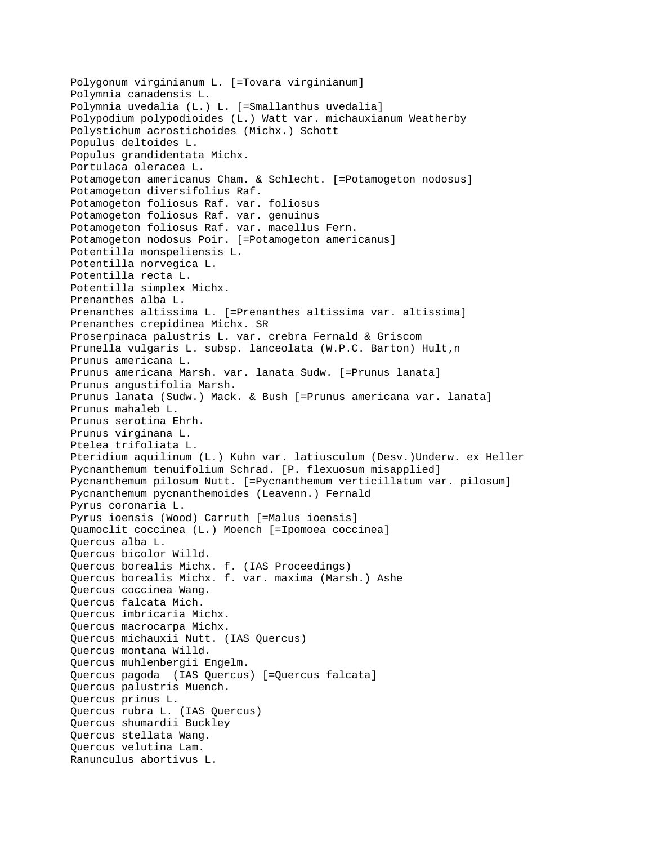```
Polygonum virginianum L. [=Tovara virginianum]
Polymnia canadensis L.
Polymnia uvedalia (L.) L. [=Smallanthus uvedalia]
Polypodium polypodioides (L.) Watt var. michauxianum Weatherby
Polystichum acrostichoides (Michx.) Schott
Populus deltoides L.
Populus grandidentata Michx.
Portulaca oleracea L.
Potamogeton americanus Cham. & Schlecht. [=Potamogeton nodosus]
Potamogeton diversifolius Raf.
Potamogeton foliosus Raf. var. foliosus
Potamogeton foliosus Raf. var. genuinus
Potamogeton foliosus Raf. var. macellus Fern.
Potamogeton nodosus Poir. [=Potamogeton americanus]
Potentilla monspeliensis L.
Potentilla norvegica L.
Potentilla recta L.
Potentilla simplex Michx.
Prenanthes alba L.
Prenanthes altissima L. [=Prenanthes altissima var. altissima]
Prenanthes crepidinea Michx. SR 
Proserpinaca palustris L. var. crebra Fernald & Griscom
Prunella vulgaris L. subsp. lanceolata (W.P.C. Barton) Hult, n
Prunus americana L.
Prunus americana Marsh. var. lanata Sudw. [=Prunus lanata]
Prunus angustifolia Marsh.
Prunus lanata (Sudw.) Mack. & Bush [=Prunus americana var. lanata]
Prunus mahaleb L.
Prunus serotina Ehrh.
Prunus virginana L.
Ptelea trifoliata L.
Pteridium aquilinum (L.) Kuhn var. latiusculum (Desv.)Underw. ex Heller
Pycnanthemum tenuifolium Schrad. [P. flexuosum misapplied]
Pycnanthemum pilosum Nutt. [=Pycnanthemum verticillatum var. pilosum]
Pycnanthemum pycnanthemoides (Leavenn.) Fernald
Pyrus coronaria L.
Pyrus ioensis (Wood) Carruth [=Malus ioensis]
Quamoclit coccinea (L.) Moench [=Ipomoea coccinea]
Quercus alba L.
Quercus bicolor Willd.
Quercus borealis Michx. f. (IAS Proceedings)
Quercus borealis Michx. f. var. maxima (Marsh.) Ashe
Quercus coccinea Wang.
Quercus falcata Mich.
Quercus imbricaria Michx.
Quercus macrocarpa Michx.
Quercus michauxii Nutt. (IAS Quercus)
Quercus montana Willd.
Quercus muhlenbergii Engelm.
Quercus pagoda (IAS Quercus) [=Quercus falcata]
Quercus palustris Muench.
Quercus prinus L.
Quercus rubra L. (IAS Quercus)
Quercus shumardii Buckley
Quercus stellata Wang.
Quercus velutina Lam.
Ranunculus abortivus L.
```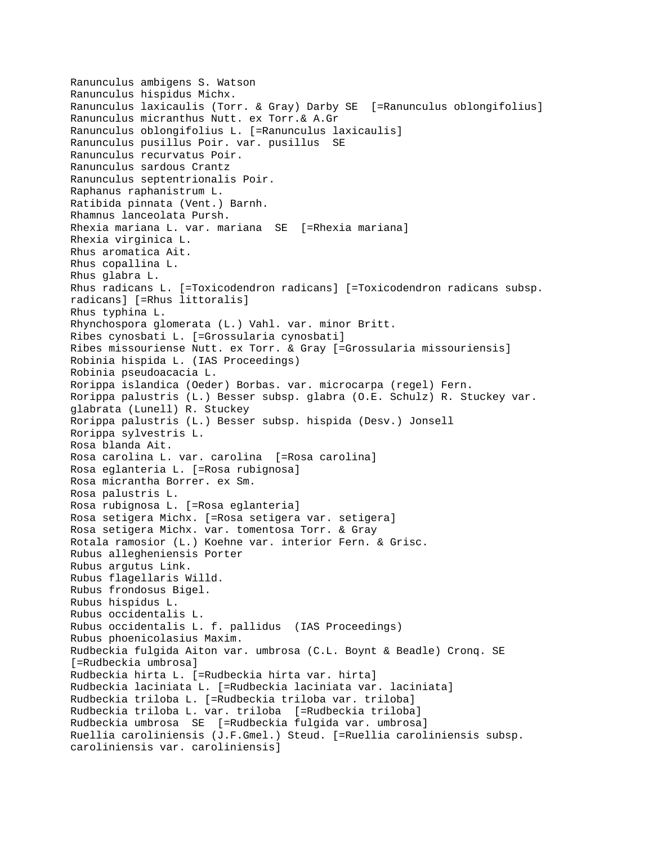Ranunculus ambigens S. Watson Ranunculus hispidus Michx. Ranunculus laxicaulis (Torr. & Gray) Darby SE [=Ranunculus oblongifolius] Ranunculus micranthus Nutt. ex Torr.& A.Gr Ranunculus oblongifolius L. [=Ranunculus laxicaulis] Ranunculus pusillus Poir. var. pusillus SE Ranunculus recurvatus Poir. Ranunculus sardous Crantz Ranunculus septentrionalis Poir. Raphanus raphanistrum L. Ratibida pinnata (Vent.) Barnh. Rhamnus lanceolata Pursh. Rhexia mariana L. var. mariana SE [=Rhexia mariana] Rhexia virginica L. Rhus aromatica Ait. Rhus copallina L. Rhus glabra L. Rhus radicans L. [=Toxicodendron radicans] [=Toxicodendron radicans subsp. radicans] [=Rhus littoralis] Rhus typhina L. Rhynchospora glomerata (L.) Vahl. var. minor Britt. Ribes cynosbati L. [=Grossularia cynosbati] Ribes missouriense Nutt. ex Torr. & Gray [=Grossularia missouriensis] Robinia hispida L. (IAS Proceedings) Robinia pseudoacacia L. Rorippa islandica (Oeder) Borbas. var. microcarpa (regel) Fern. Rorippa palustris (L.) Besser subsp. glabra (O.E. Schulz) R. Stuckey var. glabrata (Lunell) R. Stuckey Rorippa palustris (L.) Besser subsp. hispida (Desv.) Jonsell Rorippa sylvestris L. Rosa blanda Ait. Rosa carolina L. var. carolina [=Rosa carolina] Rosa eglanteria L. [=Rosa rubignosa] Rosa micrantha Borrer. ex Sm. Rosa palustris L. Rosa rubignosa L. [=Rosa eglanteria] Rosa setigera Michx. [=Rosa setigera var. setigera] Rosa setigera Michx. var. tomentosa Torr. & Gray Rotala ramosior (L.) Koehne var. interior Fern. & Grisc. Rubus allegheniensis Porter Rubus argutus Link. Rubus flagellaris Willd. Rubus frondosus Bigel. Rubus hispidus L. Rubus occidentalis L. Rubus occidentalis L. f. pallidus (IAS Proceedings) Rubus phoenicolasius Maxim. Rudbeckia fulgida Aiton var. umbrosa (C.L. Boynt & Beadle) Cronq. SE [=Rudbeckia umbrosa] Rudbeckia hirta L. [=Rudbeckia hirta var. hirta] Rudbeckia laciniata L. [=Rudbeckia laciniata var. laciniata] Rudbeckia triloba L. [=Rudbeckia triloba var. triloba] Rudbeckia triloba L. var. triloba [=Rudbeckia triloba] Rudbeckia umbrosa SE [=Rudbeckia fulgida var. umbrosa] Ruellia caroliniensis (J.F.Gmel.) Steud. [=Ruellia caroliniensis subsp. caroliniensis var. caroliniensis]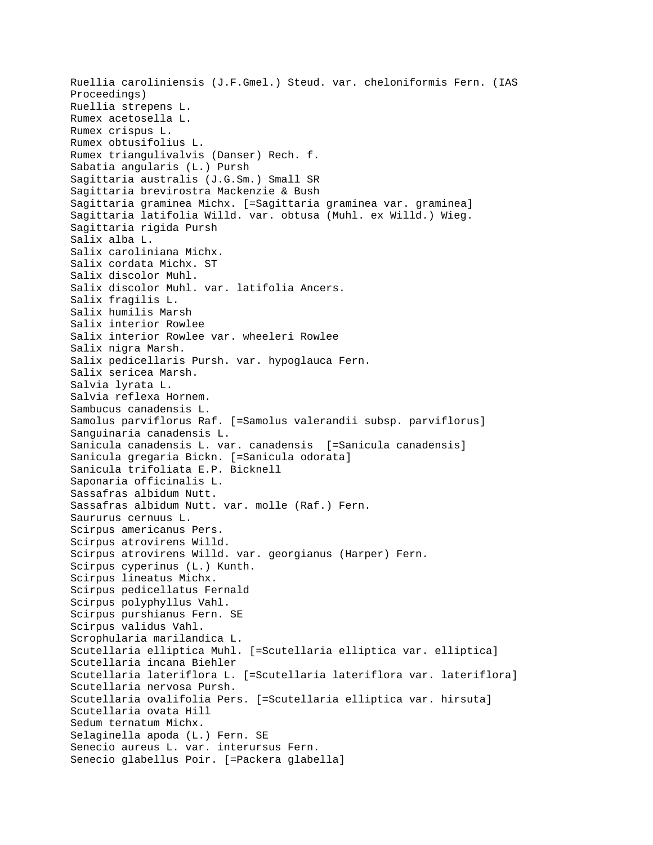Ruellia caroliniensis (J.F.Gmel.) Steud. var. cheloniformis Fern. (IAS Proceedings) Ruellia strepens L. Rumex acetosella L. Rumex crispus L. Rumex obtusifolius L. Rumex triangulivalvis (Danser) Rech. f. Sabatia angularis (L.) Pursh Sagittaria australis (J.G.Sm.) Small SR Sagittaria brevirostra Mackenzie & Bush Sagittaria graminea Michx. [=Sagittaria graminea var. graminea] Sagittaria latifolia Willd. var. obtusa (Muhl. ex Willd.) Wieg. Sagittaria rigida Pursh Salix alba L. Salix caroliniana Michx. Salix cordata Michx. ST Salix discolor Muhl. Salix discolor Muhl. var. latifolia Ancers. Salix fragilis L. Salix humilis Marsh Salix interior Rowlee Salix interior Rowlee var. wheeleri Rowlee Salix nigra Marsh. Salix pedicellaris Pursh. var. hypoglauca Fern. Salix sericea Marsh. Salvia lyrata L. Salvia reflexa Hornem. Sambucus canadensis L. Samolus parviflorus Raf. [=Samolus valerandii subsp. parviflorus] Sanguinaria canadensis L. Sanicula canadensis L. var. canadensis [=Sanicula canadensis] Sanicula gregaria Bickn. [=Sanicula odorata] Sanicula trifoliata E.P. Bicknell Saponaria officinalis L. Sassafras albidum Nutt. Sassafras albidum Nutt. var. molle (Raf.) Fern. Saururus cernuus L. Scirpus americanus Pers. Scirpus atrovirens Willd. Scirpus atrovirens Willd. var. georgianus (Harper) Fern. Scirpus cyperinus (L.) Kunth. Scirpus lineatus Michx. Scirpus pedicellatus Fernald Scirpus polyphyllus Vahl. Scirpus purshianus Fern. SE Scirpus validus Vahl. Scrophularia marilandica L. Scutellaria elliptica Muhl. [=Scutellaria elliptica var. elliptica] Scutellaria incana Biehler Scutellaria lateriflora L. [=Scutellaria lateriflora var. lateriflora] Scutellaria nervosa Pursh. Scutellaria ovalifolia Pers. [=Scutellaria elliptica var. hirsuta] Scutellaria ovata Hill Sedum ternatum Michx. Selaginella apoda (L.) Fern. SE Senecio aureus L. var. interursus Fern. Senecio glabellus Poir. [=Packera glabella]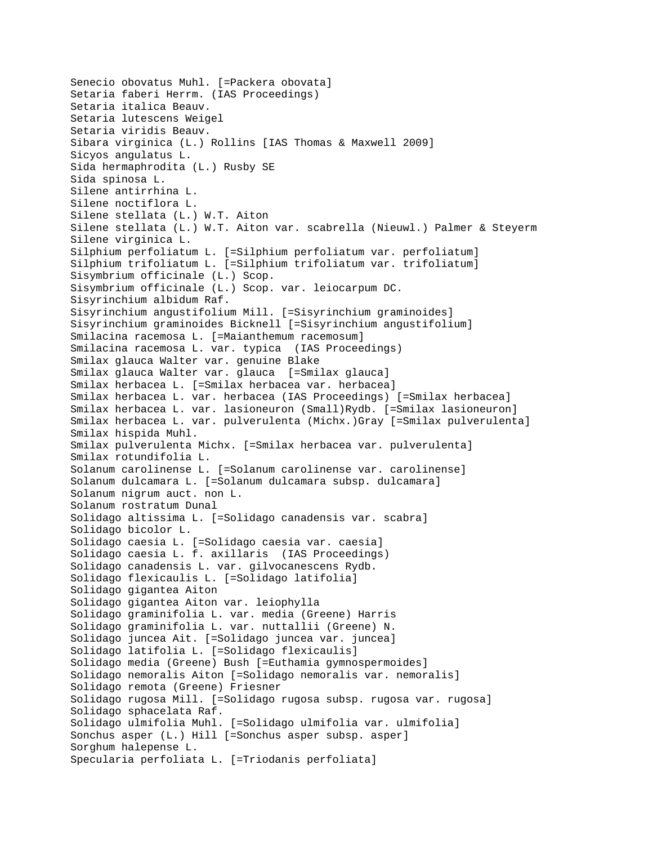```
Senecio obovatus Muhl. [=Packera obovata]
Setaria faberi Herrm. (IAS Proceedings)
Setaria italica Beauv.
Setaria lutescens Weigel
Setaria viridis Beauv.
Sibara virginica (L.) Rollins [IAS Thomas & Maxwell 2009]
Sicyos angulatus L.
Sida hermaphrodita (L.) Rusby SE
Sida spinosa L.
Silene antirrhina L.
Silene noctiflora L.
Silene stellata (L.) W.T. Aiton
Silene stellata (L.) W.T. Aiton var. scabrella (Nieuwl.) Palmer & Steyerm
Silene virginica L.
Silphium perfoliatum L. [=Silphium perfoliatum var. perfoliatum]
Silphium trifoliatum L. [=Silphium trifoliatum var. trifoliatum]
Sisymbrium officinale (L.) Scop.
Sisymbrium officinale (L.) Scop. var. leiocarpum DC.
Sisyrinchium albidum Raf.
Sisyrinchium angustifolium Mill. [=Sisyrinchium graminoides]
Sisyrinchium graminoides Bicknell [=Sisyrinchium angustifolium]
Smilacina racemosa L. [=Maianthemum racemosum]
Smilacina racemosa L. var. typica (IAS Proceedings)
Smilax glauca Walter var. genuine Blake
Smilax glauca Walter var. glauca [=Smilax glauca]
Smilax herbacea L. [=Smilax herbacea var. herbacea]
Smilax herbacea L. var. herbacea (IAS Proceedings) [=Smilax herbacea]
Smilax herbacea L. var. lasioneuron (Small)Rydb. [=Smilax lasioneuron]
Smilax herbacea L. var. pulverulenta (Michx.)Gray [=Smilax pulverulenta]
Smilax hispida Muhl.
Smilax pulverulenta Michx. [=Smilax herbacea var. pulverulenta]
Smilax rotundifolia L.
Solanum carolinense L. [=Solanum carolinense var. carolinense]
Solanum dulcamara L. [=Solanum dulcamara subsp. dulcamara]
Solanum nigrum auct. non L.
Solanum rostratum Dunal
Solidago altissima L. [=Solidago canadensis var. scabra]
Solidago bicolor L.
Solidago caesia L. [=Solidago caesia var. caesia]
Solidago caesia L. f. axillaris (IAS Proceedings)
Solidago canadensis L. var. gilvocanescens Rydb.
Solidago flexicaulis L. [=Solidago latifolia]
Solidago gigantea Aiton
Solidago gigantea Aiton var. leiophylla 
Solidago graminifolia L. var. media (Greene) Harris
Solidago graminifolia L. var. nuttallii (Greene) N.
Solidago juncea Ait. [=Solidago juncea var. juncea]
Solidago latifolia L. [=Solidago flexicaulis]
Solidago media (Greene) Bush [=Euthamia gymnospermoides]
Solidago nemoralis Aiton [=Solidago nemoralis var. nemoralis]
Solidago remota (Greene) Friesner
Solidago rugosa Mill. [=Solidago rugosa subsp. rugosa var. rugosa]
Solidago sphacelata Raf.
Solidago ulmifolia Muhl. [=Solidago ulmifolia var. ulmifolia]
Sonchus asper (L.) Hill [=Sonchus asper subsp. asper]
Sorghum halepense L.
Specularia perfoliata L. [=Triodanis perfoliata]
```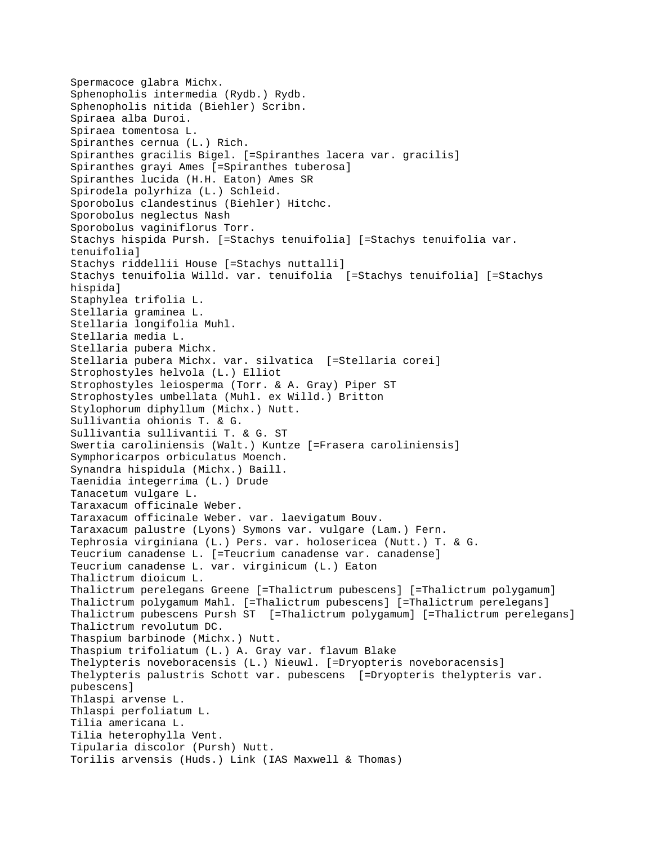```
Spermacoce glabra Michx.
Sphenopholis intermedia (Rydb.) Rydb.
Sphenopholis nitida (Biehler) Scribn.
Spiraea alba Duroi.
Spiraea tomentosa L.
Spiranthes cernua (L.) Rich.
Spiranthes gracilis Bigel. [=Spiranthes lacera var. gracilis]
Spiranthes grayi Ames [=Spiranthes tuberosa]
Spiranthes lucida (H.H. Eaton) Ames SR 
Spirodela polyrhiza (L.) Schleid.
Sporobolus clandestinus (Biehler) Hitchc.
Sporobolus neglectus Nash
Sporobolus vaginiflorus Torr.
Stachys hispida Pursh. [=Stachys tenuifolia] [=Stachys tenuifolia var. 
tenuifolia]
Stachys riddellii House [=Stachys nuttalli]
Stachys tenuifolia Willd. var. tenuifolia [=Stachys tenuifolia] [=Stachys 
hispida]
Staphylea trifolia L.
Stellaria graminea L.
Stellaria longifolia Muhl.
Stellaria media L.
Stellaria pubera Michx.
Stellaria pubera Michx. var. silvatica [=Stellaria corei]
Strophostyles helvola (L.) Elliot
Strophostyles leiosperma (Torr. & A. Gray) Piper ST
Strophostyles umbellata (Muhl. ex Willd.) Britton
Stylophorum diphyllum (Michx.) Nutt.
Sullivantia ohionis T. & G.
Sullivantia sullivantii T. & G. ST 
Swertia caroliniensis (Walt.) Kuntze [=Frasera caroliniensis]
Symphoricarpos orbiculatus Moench.
Synandra hispidula (Michx.) Baill.
Taenidia integerrima (L.) Drude
Tanacetum vulgare L.
Taraxacum officinale Weber.
Taraxacum officinale Weber. var. laevigatum Bouv.
Taraxacum palustre (Lyons) Symons var. vulgare (Lam.) Fern.
Tephrosia virginiana (L.) Pers. var. holosericea (Nutt.) T. & G.
Teucrium canadense L. [=Teucrium canadense var. canadense]
Teucrium canadense L. var. virginicum (L.) Eaton
Thalictrum dioicum L.
Thalictrum perelegans Greene [=Thalictrum pubescens] [=Thalictrum polygamum]
Thalictrum polygamum Mahl. [=Thalictrum pubescens] [=Thalictrum perelegans]
Thalictrum pubescens Pursh ST [=Thalictrum polygamum] [=Thalictrum perelegans]
Thalictrum revolutum DC.
Thaspium barbinode (Michx.) Nutt.
Thaspium trifoliatum (L.) A. Gray var. flavum Blake
Thelypteris noveboracensis (L.) Nieuwl. [=Dryopteris noveboracensis]
Thelypteris palustris Schott var. pubescens [=Dryopteris thelypteris var. 
pubescens]
Thlaspi arvense L.
Thlaspi perfoliatum L.
Tilia americana L.
Tilia heterophylla Vent.
Tipularia discolor (Pursh) Nutt.
Torilis arvensis (Huds.) Link (IAS Maxwell & Thomas)
```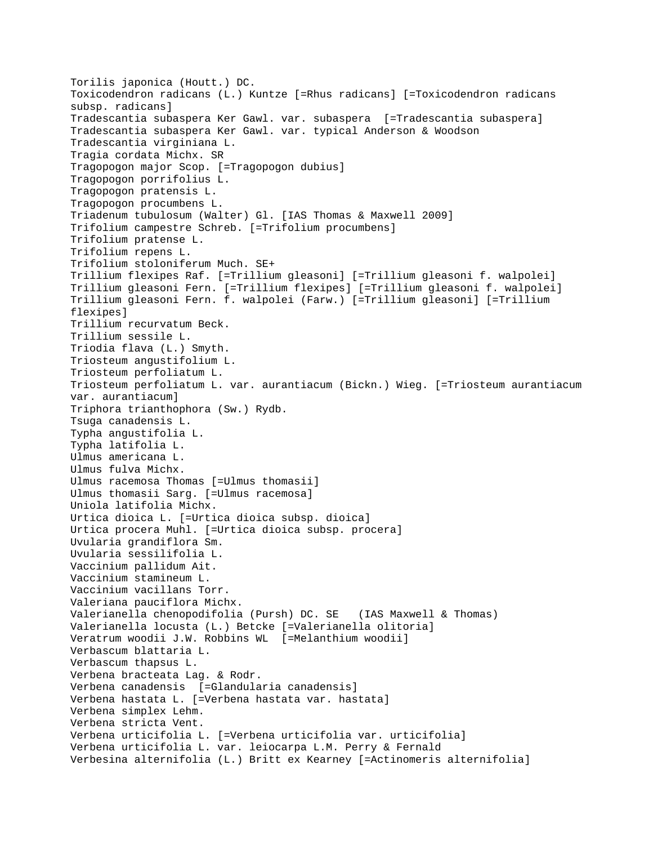Torilis japonica (Houtt.) DC. Toxicodendron radicans (L.) Kuntze [=Rhus radicans] [=Toxicodendron radicans subsp. radicans] Tradescantia subaspera Ker Gawl. var. subaspera [=Tradescantia subaspera] Tradescantia subaspera Ker Gawl. var. typical Anderson & Woodson Tradescantia virginiana L. Tragia cordata Michx. SR Tragopogon major Scop. [=Tragopogon dubius] Tragopogon porrifolius L. Tragopogon pratensis L. Tragopogon procumbens L. Triadenum tubulosum (Walter) Gl. [IAS Thomas & Maxwell 2009] Trifolium campestre Schreb. [=Trifolium procumbens] Trifolium pratense L. Trifolium repens L. Trifolium stoloniferum Much. SE+ Trillium flexipes Raf. [=Trillium gleasoni] [=Trillium gleasoni f. walpolei] Trillium gleasoni Fern. [=Trillium flexipes] [=Trillium gleasoni f. walpolei] Trillium gleasoni Fern. f. walpolei (Farw.) [=Trillium gleasoni] [=Trillium flexipes] Trillium recurvatum Beck. Trillium sessile L. Triodia flava (L.) Smyth. Triosteum angustifolium L. Triosteum perfoliatum L. Triosteum perfoliatum L. var. aurantiacum (Bickn.) Wieg. [=Triosteum aurantiacum var. aurantiacum] Triphora trianthophora (Sw.) Rydb. Tsuga canadensis L. Typha angustifolia L. Typha latifolia L. Ulmus americana L. Ulmus fulva Michx. Ulmus racemosa Thomas [=Ulmus thomasii] Ulmus thomasii Sarg. [=Ulmus racemosa] Uniola latifolia Michx. Urtica dioica L. [=Urtica dioica subsp. dioica] Urtica procera Muhl. [=Urtica dioica subsp. procera] Uvularia grandiflora Sm. Uvularia sessilifolia L. Vaccinium pallidum Ait. Vaccinium stamineum L. Vaccinium vacillans Torr. Valeriana pauciflora Michx. Valerianella chenopodifolia (Pursh) DC. SE (IAS Maxwell & Thomas) Valerianella locusta (L.) Betcke [=Valerianella olitoria] Veratrum woodii J.W. Robbins WL [=Melanthium woodii] Verbascum blattaria L. Verbascum thapsus L. Verbena bracteata Lag. & Rodr. Verbena canadensis [=Glandularia canadensis] Verbena hastata L. [=Verbena hastata var. hastata] Verbena simplex Lehm. Verbena stricta Vent. Verbena urticifolia L. [=Verbena urticifolia var. urticifolia] Verbena urticifolia L. var. leiocarpa L.M. Perry & Fernald Verbesina alternifolia (L.) Britt ex Kearney [=Actinomeris alternifolia]